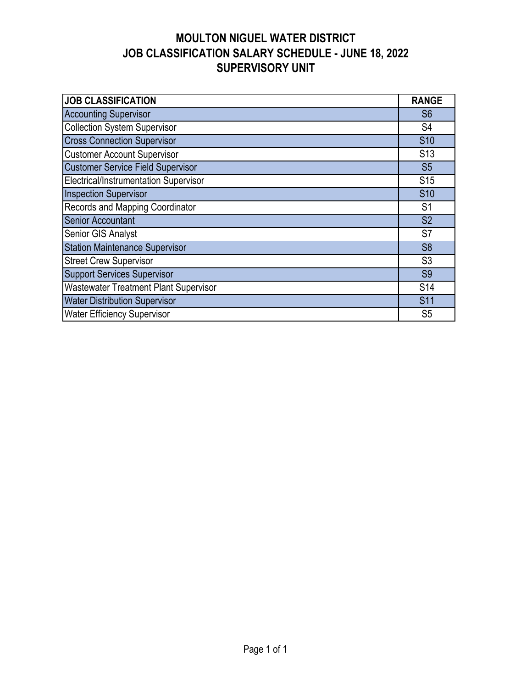## **MOULTON NIGUEL WATER DISTRICT JOB CLASSIFICATION SALARY SCHEDULE - JUNE 18, 2022 SUPERVISORY UNIT**

| <b>JOB CLASSIFICATION</b>                    | <b>RANGE</b>    |
|----------------------------------------------|-----------------|
| <b>Accounting Supervisor</b>                 | S <sub>6</sub>  |
| <b>Collection System Supervisor</b>          | S4              |
| <b>Cross Connection Supervisor</b>           | S <sub>10</sub> |
| <b>Customer Account Supervisor</b>           | S <sub>13</sub> |
| <b>Customer Service Field Supervisor</b>     | S <sub>5</sub>  |
| Electrical/Instrumentation Supervisor        | S <sub>15</sub> |
| <b>Inspection Supervisor</b>                 | <b>S10</b>      |
| Records and Mapping Coordinator              | S <sub>1</sub>  |
| <b>Senior Accountant</b>                     | S <sub>2</sub>  |
| Senior GIS Analyst                           | S7              |
| <b>Station Maintenance Supervisor</b>        | S <sub>8</sub>  |
| <b>Street Crew Supervisor</b>                | S <sub>3</sub>  |
| <b>Support Services Supervisor</b>           | S <sub>9</sub>  |
| <b>Wastewater Treatment Plant Supervisor</b> | S <sub>14</sub> |
| <b>Water Distribution Supervisor</b>         | <b>S11</b>      |
| <b>Water Efficiency Supervisor</b>           | S <sub>5</sub>  |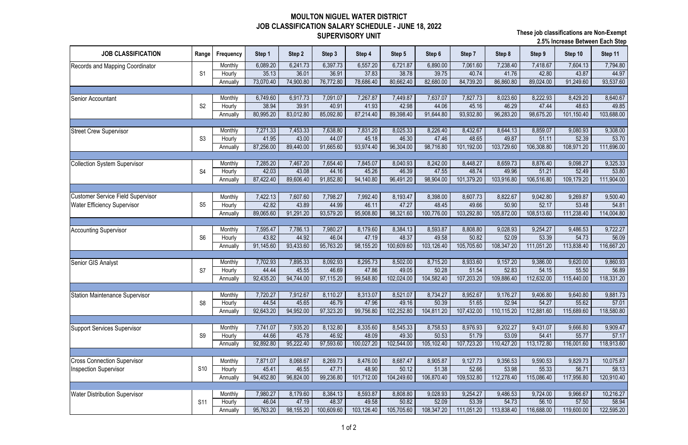## **MOULTON NIGUEL WATER DISTRICT JOB CLASSIFICATION SALARY SCHEDULE - JUNE 18, 2022 SUPERVISORY UNIT**

| <b>JOB CLASSIFICATION</b>                | Range           | Frequency         | Step 1             | Step 2             | Step 3             | Step 4              | Step 5            | Step 6              | Step 7              | Step 8              | Step 9              | Step 10             | Step 11            |
|------------------------------------------|-----------------|-------------------|--------------------|--------------------|--------------------|---------------------|-------------------|---------------------|---------------------|---------------------|---------------------|---------------------|--------------------|
| Records and Mapping Coordinator          |                 | Monthly           | 6,089.20           | 6,241.73           | 6,397.73           | 6,557.20            | 6,721.87          | 6,890.00            | 7,061.60            | 7,238.40            | 7,418.67            | 7,604.13            | 7,794.80           |
|                                          | S <sub>1</sub>  | Hourly            | 35.13              | 36.01              | 36.91              | 37.83               | 38.78             | 39.75               | 40.74               | 41.76               | 42.80               | 43.87               | 44.97              |
|                                          |                 | Annually          | 73,070.40          | 74,900.80          | 76,772.80          | 78,686.40           | 80,662.40         | 82,680.00           | 84,739.20           | 86,860.80           | 89,024.00           | 91,249.60           | 93,537.60          |
|                                          |                 |                   |                    |                    |                    |                     |                   |                     |                     |                     |                     |                     |                    |
| <b>Senior Accountant</b>                 |                 | Monthly           | 6,749.60           | 6,917.73           | 7,091.07           | 7,267.87            | 7,449.87          | 7,637.07            | 7,827.73            | 8,023.60            | 8,222.93            | 8,429.20            | 8,640.67           |
|                                          | S <sub>2</sub>  | Hourly            | 38.94              | 39.91              | 40.91              | 41.93               | 42.98             | 44.06               | 45.16               | 46.29               | 47.44               | 48.63               | 49.85              |
|                                          |                 | Annually          | 80,995.20          | 83,012.80          | 85,092.80          | 87,214.40           | 89,398.40         | 91,644.80           | 93,932.80           | 96,283.20           | 98,675.20           | 101,150.40          | 103,688.00         |
|                                          |                 |                   |                    |                    | 7,638.80           |                     |                   |                     | 8,432.67            | 8,644.13            | 8,859.07            | 9,080.93            | 9,308.00           |
| <b>Street Crew Supervisor</b>            | S <sub>3</sub>  | Monthly<br>Hourly | 7,271.33<br>41.95  | 7,453.33<br>43.00  | 44.07              | 7,831.20<br>45.18   | 8,025.33<br>46.30 | 8,226.40<br>47.46   | 48.65               | 49.87               | 51.11               | 52.39               | 53.70              |
|                                          |                 | Annually          | 87,256.00          | 89,440.00          | 91,665.60          | 93,974.40           | 96,304.00         | 98,716.80           | 101,192.00          | 103,729.60          | 106,308.80          | 108,971.20          | 111,696.00         |
|                                          |                 |                   |                    |                    |                    |                     |                   |                     |                     |                     |                     |                     |                    |
| <b>Collection System Supervisor</b>      |                 | Monthly           | 7,285.20           | 7,467.20           | 7,654.40           | 7,845.07            | 8,040.93          | 8,242.00            | 8,448.27            | 8,659.73            | 8,876.40            | 9,098.27            | 9,325.33           |
|                                          | S <sub>4</sub>  | Hourly            | 42.03              | 43.08              | 44.16              | 45.26               | 46.39             | 47.55               | 48.74               | 49.96               | 51.21               | 52.49               | 53.80              |
|                                          |                 | Annually          | 87,422.40          | 89,606.40          | 91,852.80          | 94,140.80           | 96,491.20         | 98,904.00           | 101,379.20          | 103,916.80          | 106,516.80          | 109,179.20          | 111,904.00         |
|                                          |                 |                   |                    |                    |                    |                     |                   |                     |                     |                     |                     |                     |                    |
| <b>Customer Service Field Supervisor</b> |                 | Monthly           | 7,422.13           | 7,607.60           | 7,798.27           | 7,992.40            | 8,193.47          | 8,398.00            | 8,607.73            | 8,822.67            | 9,042.80            | 9,269.87            | 9,500.40           |
| <b>Water Efficiency Supervisor</b>       | S <sub>5</sub>  | Hourly            | 42.82              | 43.89              | 44.99              | 46.11               | 47.27             | 48.45               | 49.66               | 50.90               | 52.17               | 53.48               | 54.81              |
|                                          |                 | Annually          | 89,065.60          | 91,291.20          | 93,579.20          | 95,908.80           | 98,321.60         | 100,776.00          | 103,292.80          | 105,872.00          | 108,513.60          | 111,238.40          | 114,004.80         |
|                                          |                 |                   |                    |                    |                    |                     |                   |                     |                     |                     |                     |                     |                    |
| <b>Accounting Supervisor</b>             |                 | Monthly           | 7,595.47           | 7,786.13           | 7,980.27           | 8,179.60            | 8,384.13          | 8,593.87            | 8,808.80            | 9,028.93            | 9,254.27            | 9,486.53            | 9,722.27           |
|                                          | S <sub>6</sub>  | Hourly            | 43.82              | 44.92              | 46.04              | 47.19               | 48.37             | 49.58               | 50.82               | 52.09               | 53.39               | 54.73               | 56.09              |
|                                          |                 | Annually          | 91,145.60          | 93,433.60          | 95,763.20          | 98,155.20           | 100,609.60        | 103,126.40          | 105,705.60          | 108,347.20          | 111,051.20          | 113,838.40          | 116,667.20         |
|                                          |                 |                   |                    |                    |                    |                     |                   |                     |                     |                     |                     |                     |                    |
| Senior GIS Analyst                       |                 | Monthly           | 7,702.93           | 7,895.33           | 8,092.93           | 8,295.73            | 8,502.00          | 8,715.20            | 8,933.60            | 9,157.20            | 9,386.00            | 9,620.00            | 9,860.93           |
|                                          | S7              | Hourly            | 44.44              | 45.55              | 46.69              | 47.86               | 49.05             | 50.28               | 51.54               | 52.83               | 54.15               | 55.50               | 56.89              |
|                                          |                 | Annually          | 92,435.20          | 94,744.00          | 97,115.20          | 99,548.80           | 102,024.00        | 104,582.40          | 107,203.20          | 109,886.40          | 112,632.00          | 115,440.00          | 118,331.20         |
|                                          |                 |                   |                    |                    |                    |                     |                   |                     |                     |                     |                     |                     |                    |
| Station Maintenance Supervisor           |                 | Monthly           | 7,720.27           | 7,912.67           | 8,110.27           | 8,313.07            | 8,521.07          | 8,734.27            | 8,952.67            | 9,176.27            | 9,406.80            | 9,640.80            | 9,881.73           |
|                                          | S <sub>8</sub>  | Hourly            | 44.54              | 45.65              | 46.79              | 47.96               | 49.16             | 50.39               | 51.65               | 52.94               | 54.27               | 55.62               | 57.01              |
|                                          |                 | Annually          | 92,643.20          | 94,952.00          | 97,323.20          | 99,756.80           | 102,252.80        | 104,811.20          | 107,432.00          | 110,115.20          | 112,881.60          | 115,689.60          | 118,580.80         |
|                                          |                 |                   |                    |                    |                    |                     |                   |                     |                     |                     |                     |                     |                    |
| <b>Support Services Supervisor</b>       |                 | Monthly           | 7,741.07           | 7,935.20           | 8,132.80           | 8,335.60            | 8,545.33          | 8,758.53            | 8,976.93            | 9,202.27            | 9,431.07            | 9,666.80            | 9,909.47           |
|                                          | S <sub>9</sub>  | Hourly            | 44.66<br>92,892.80 | 45.78<br>95,222.40 | 46.92<br>97,593.60 | 48.09<br>100,027.20 | 49.30             | 50.53<br>105,102.40 | 51.79<br>107,723.20 | 53.09<br>110,427.20 | 54.41<br>113,172.80 | 55.77<br>116,001.60 | 57.17              |
|                                          |                 | Annually          |                    |                    |                    |                     | 102,544.00        |                     |                     |                     |                     |                     | 118,913.60         |
|                                          |                 |                   |                    |                    |                    |                     |                   |                     |                     |                     |                     |                     |                    |
| <b>Cross Connection Supervisor</b>       | S <sub>10</sub> | Monthly           | 7,871.07<br>45.41  | 8,068.67<br>46.55  | 8,269.73<br>47.71  | 8,476.00<br>48.90   | 8,687.47<br>50.12 | 8,905.87<br>51.38   | 9,127.73<br>52.66   | 9,356.53<br>53.98   | 9,590.53<br>55.33   | 9,829.73<br>56.71   | 10,075.87<br>58.13 |
| <b>Inspection Supervisor</b>             |                 | Hourly            | 94,452.80          | 96,824.00          | 99,236.80          | 101,712.00          | 104,249.60        | 106,870.40          | 109,532.80          | 112,278.40          | 115,086.40          | 117,956.80          | 120,910.40         |
|                                          |                 | Annually          |                    |                    |                    |                     |                   |                     |                     |                     |                     |                     |                    |
| <b>Water Distribution Supervisor</b>     |                 | Monthly           | 7,980.27           | 8,179.60           | 8,384.13           | 8,593.87            | 8,808.80          | 9,028.93            | 9,254.27            | 9,486.53            | 9,724.00            | 9,966.67            | 10,216.27          |
|                                          | S <sub>11</sub> | Hourly            | 46.04              | 47.19              | 48.37              | 49.58               | 50.82             | 52.09               | 53.39               | 54.73               | 56.10               | 57.50               | 58.94              |
|                                          |                 | Annually          | 95,763.20          | 98,155.20          | 100,609.60         | 103,126.40          | 105,705.60        | 108,347.20          | 111,051.20          | 113,838.40          | 116,688.00          | 119,600.00          | 122,595.20         |
|                                          |                 |                   |                    |                    |                    |                     |                   |                     |                     |                     |                     |                     |                    |

**These job classifications are Non-Exempt 2.5% Increase Between Each Step**